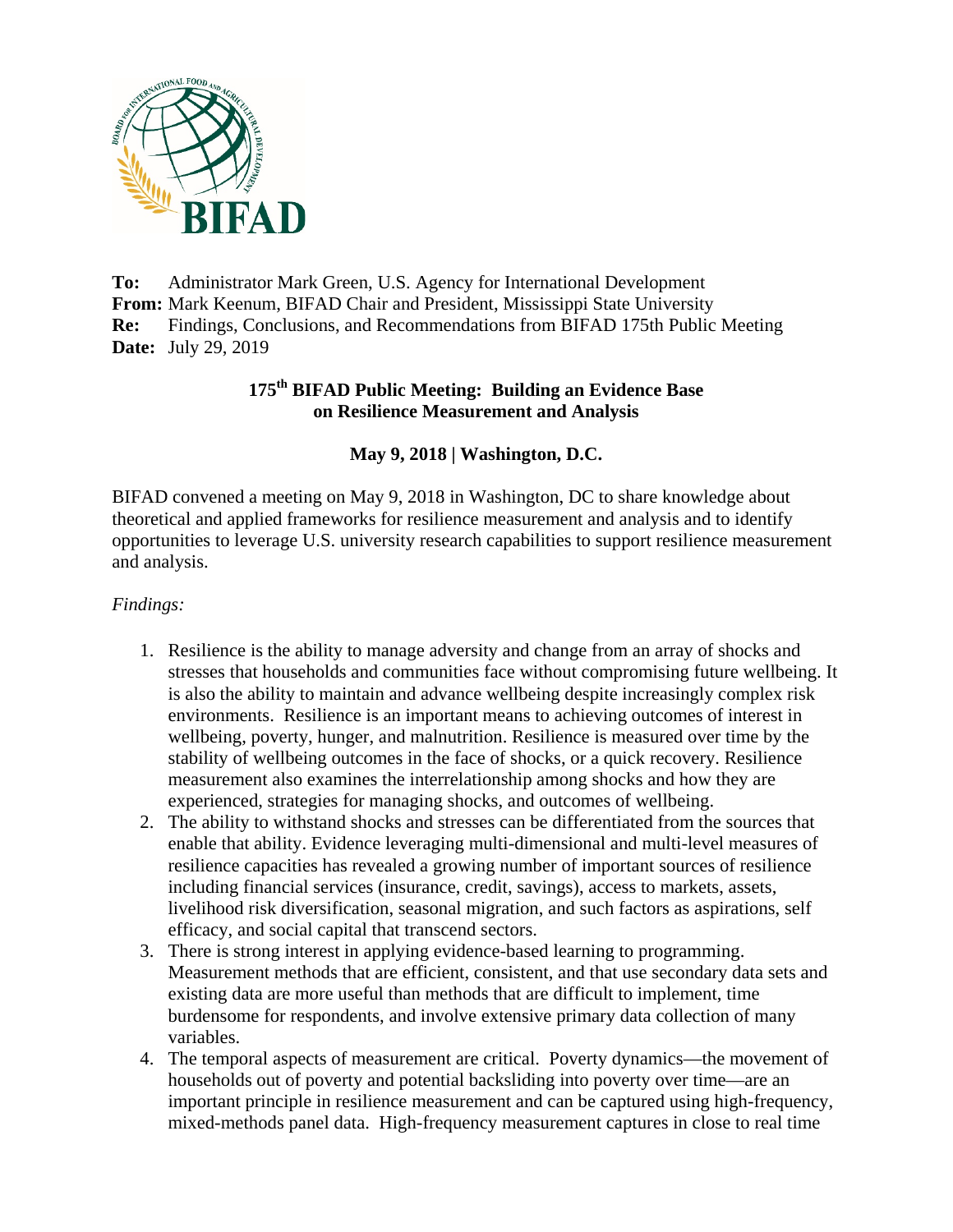

**To:** Administrator Mark Green, U.S. Agency for International Development **From:** Mark Keenum, BIFAD Chair and President, Mississippi State University **Re:** Findings, Conclusions, and Recommendations from BIFAD 175th Public Meeting **Date:** July 29, 2019

# **175th BIFAD Public Meeting: Building an Evidence Base on Resilience Measurement and Analysis**

## **May 9, 2018 | Washington, D.C.**

BIFAD convened a meeting on May 9, 2018 in Washington, DC to share knowledge about theoretical and applied frameworks for resilience measurement and analysis and to identify opportunities to leverage U.S. university research capabilities to support resilience measurement and analysis.

#### *Findings:*

- 1. Resilience is the ability to manage adversity and change from an array of shocks and stresses that households and communities face without compromising future wellbeing. It is also the ability to maintain and advance wellbeing despite increasingly complex risk environments. Resilience is an important means to achieving outcomes of interest in wellbeing, poverty, hunger, and malnutrition. Resilience is measured over time by the stability of wellbeing outcomes in the face of shocks, or a quick recovery. Resilience measurement also examines the interrelationship among shocks and how they are experienced, strategies for managing shocks, and outcomes of wellbeing.
- 2. The ability to withstand shocks and stresses can be differentiated from the sources that enable that ability. Evidence leveraging multi-dimensional and multi-level measures of resilience capacities has revealed a growing number of important sources of resilience including financial services (insurance, credit, savings), access to markets, assets, livelihood risk diversification, seasonal migration, and such factors as aspirations, self efficacy, and social capital that transcend sectors.
- 3. There is strong interest in applying evidence-based learning to programming. Measurement methods that are efficient, consistent, and that use secondary data sets and existing data are more useful than methods that are difficult to implement, time burdensome for respondents, and involve extensive primary data collection of many variables.
- 4. The temporal aspects of measurement are critical. Poverty dynamics—the movement of households out of poverty and potential backsliding into poverty over time—are an important principle in resilience measurement and can be captured using high-frequency, mixed-methods panel data. High-frequency measurement captures in close to real time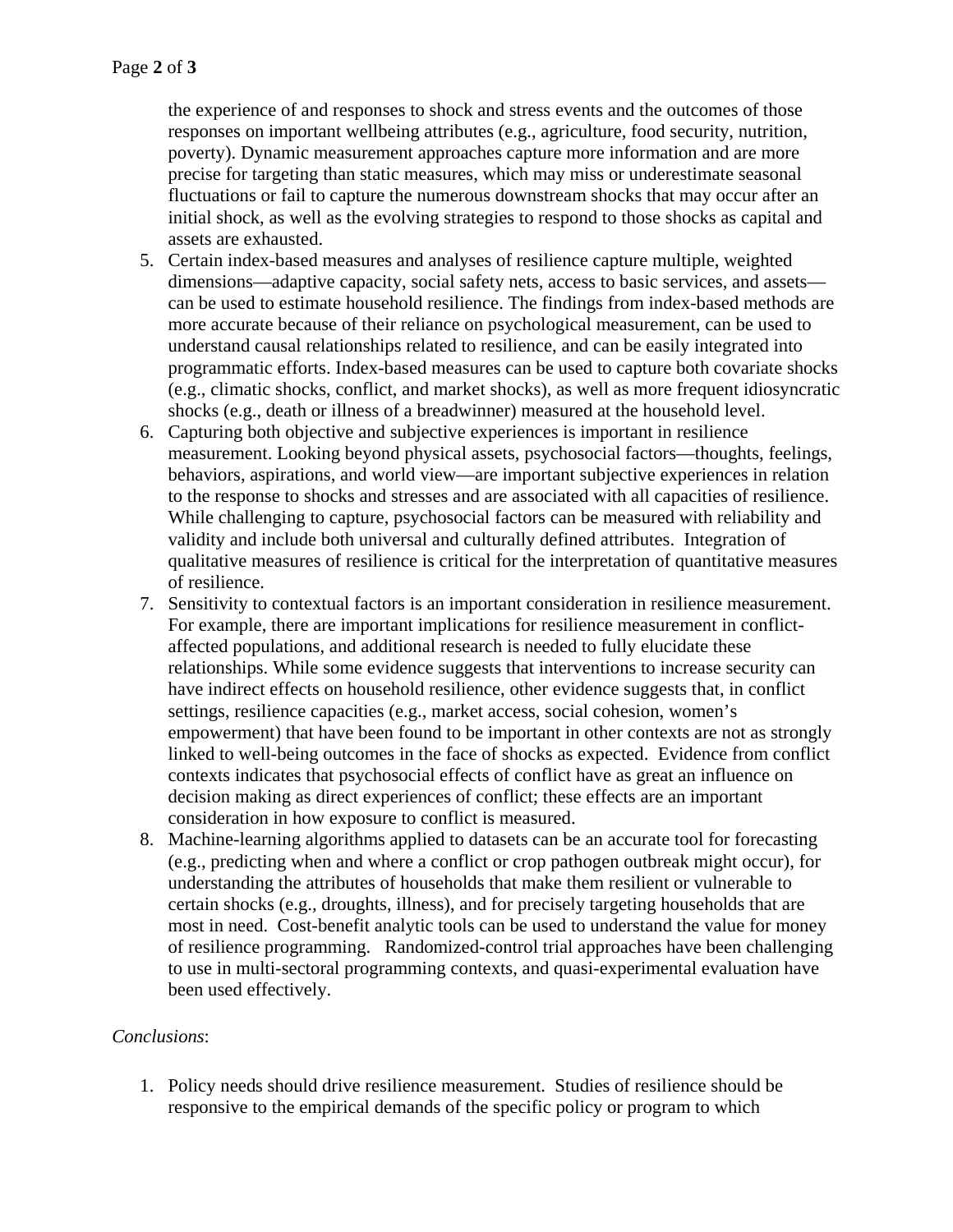the experience of and responses to shock and stress events and the outcomes of those responses on important wellbeing attributes (e.g., agriculture, food security, nutrition, poverty). Dynamic measurement approaches capture more information and are more precise for targeting than static measures, which may miss or underestimate seasonal fluctuations or fail to capture the numerous downstream shocks that may occur after an initial shock, as well as the evolving strategies to respond to those shocks as capital and assets are exhausted.

- 5. Certain index-based measures and analyses of resilience capture multiple, weighted dimensions—adaptive capacity, social safety nets, access to basic services, and assets can be used to estimate household resilience. The findings from index-based methods are more accurate because of their reliance on psychological measurement, can be used to understand causal relationships related to resilience, and can be easily integrated into programmatic efforts. Index-based measures can be used to capture both covariate shocks (e.g., climatic shocks, conflict, and market shocks), as well as more frequent idiosyncratic shocks (e.g., death or illness of a breadwinner) measured at the household level.
- 6. Capturing both objective and subjective experiences is important in resilience measurement. Looking beyond physical assets, psychosocial factors—thoughts, feelings, behaviors, aspirations, and world view—are important subjective experiences in relation to the response to shocks and stresses and are associated with all capacities of resilience. While challenging to capture, psychosocial factors can be measured with reliability and validity and include both universal and culturally defined attributes. Integration of qualitative measures of resilience is critical for the interpretation of quantitative measures of resilience.
- 7. Sensitivity to contextual factors is an important consideration in resilience measurement. For example, there are important implications for resilience measurement in conflictaffected populations, and additional research is needed to fully elucidate these relationships. While some evidence suggests that interventions to increase security can have indirect effects on household resilience, other evidence suggests that, in conflict settings, resilience capacities (e.g., market access, social cohesion, women's empowerment) that have been found to be important in other contexts are not as strongly linked to well-being outcomes in the face of shocks as expected. Evidence from conflict contexts indicates that psychosocial effects of conflict have as great an influence on decision making as direct experiences of conflict; these effects are an important consideration in how exposure to conflict is measured.
- 8. Machine-learning algorithms applied to datasets can be an accurate tool for forecasting (e.g., predicting when and where a conflict or crop pathogen outbreak might occur), for understanding the attributes of households that make them resilient or vulnerable to certain shocks (e.g., droughts, illness), and for precisely targeting households that are most in need. Cost-benefit analytic tools can be used to understand the value for money of resilience programming. Randomized-control trial approaches have been challenging to use in multi-sectoral programming contexts, and quasi-experimental evaluation have been used effectively.

## *Conclusions*:

1. Policy needs should drive resilience measurement. Studies of resilience should be responsive to the empirical demands of the specific policy or program to which